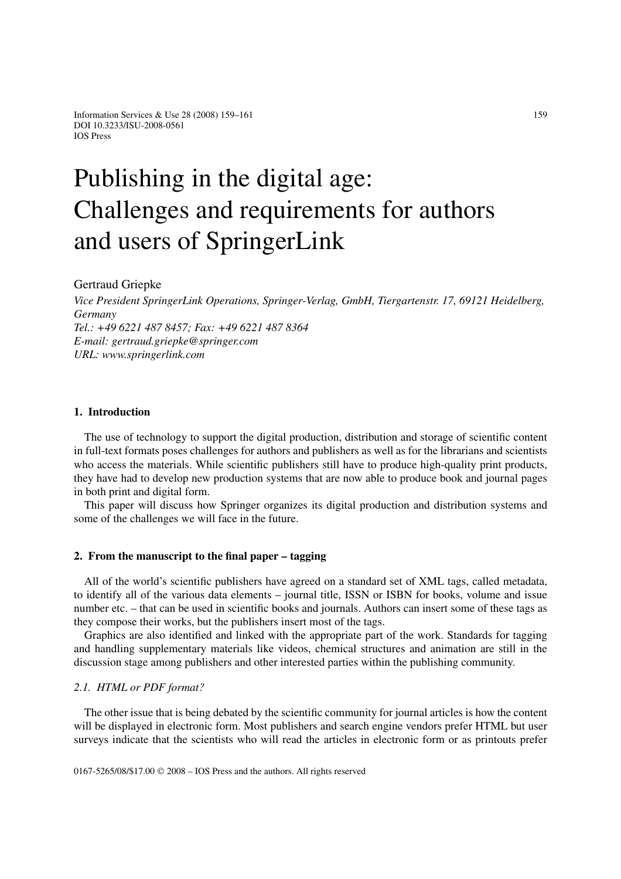# Publishing in the digital age: Challenges and requirements for authors and users of SpringerLink

Gertraud Griepke

*Vice President SpringerLink Operations, Springer-Verlag, GmbH, Tiergartenstr. 17, 69121 Heidelberg, Germany Tel.: +49 6221 487 8457; Fax: +49 6221 487 8364 E-mail: gertraud.griepke@springer.com URL: www.springerlink.com*

## **1. Introduction**

The use of technology to support the digital production, distribution and storage of scientific content in full-text formats poses challenges for authors and publishers as well as for the librarians and scientists who access the materials. While scientific publishers still have to produce high-quality print products, they have had to develop new production systems that are now able to produce book and journal pages in both print and digital form.

This paper will discuss how Springer organizes its digital production and distribution systems and some of the challenges we will face in the future.

# **2. From the manuscript to the final paper – tagging**

All of the world's scientific publishers have agreed on a standard set of XML tags, called metadata, to identify all of the various data elements – journal title, ISSN or ISBN for books, volume and issue number etc. – that can be used in scientific books and journals. Authors can insert some of these tags as they compose their works, but the publishers insert most of the tags.

Graphics are also identified and linked with the appropriate part of the work. Standards for tagging and handling supplementary materials like videos, chemical structures and animation are still in the discussion stage among publishers and other interested parties within the publishing community.

## *2.1. HTML or PDF format?*

The other issue that is being debated by the scientific community for journal articles is how the content will be displayed in electronic form. Most publishers and search engine vendors prefer HTML but user surveys indicate that the scientists who will read the articles in electronic form or as printouts prefer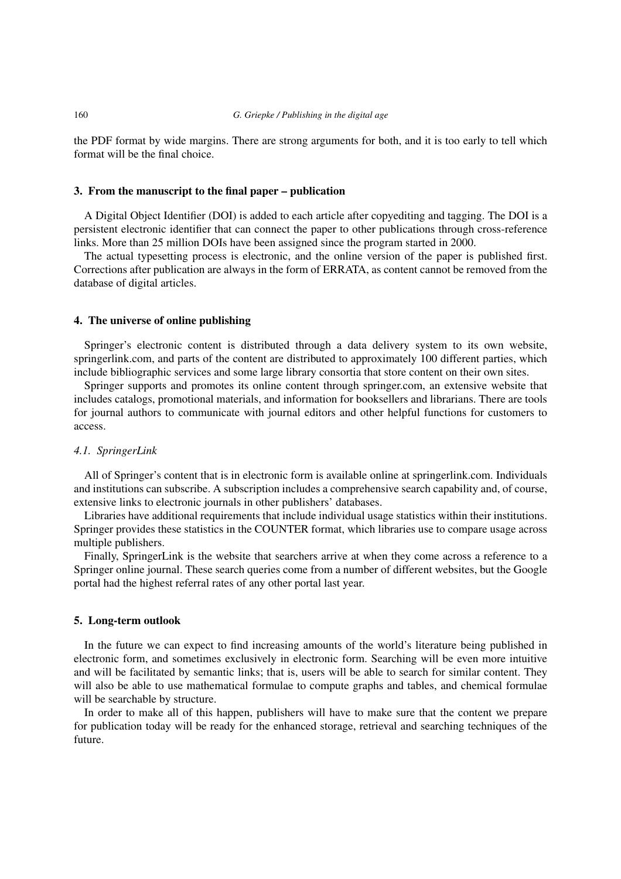the PDF format by wide margins. There are strong arguments for both, and it is too early to tell which format will be the final choice.

# **3. From the manuscript to the final paper – publication**

A Digital Object Identifier (DOI) is added to each article after copyediting and tagging. The DOI is a persistent electronic identifier that can connect the paper to other publications through cross-reference links. More than 25 million DOIs have been assigned since the program started in 2000.

The actual typesetting process is electronic, and the online version of the paper is published first. Corrections after publication are always in the form of ERRATA, as content cannot be removed from the database of digital articles.

## **4. The universe of online publishing**

Springer's electronic content is distributed through a data delivery system to its own website, springerlink.com, and parts of the content are distributed to approximately 100 different parties, which include bibliographic services and some large library consortia that store content on their own sites.

Springer supports and promotes its online content through springer.com, an extensive website that includes catalogs, promotional materials, and information for booksellers and librarians. There are tools for journal authors to communicate with journal editors and other helpful functions for customers to access.

## *4.1. SpringerLink*

All of Springer's content that is in electronic form is available online at springerlink.com. Individuals and institutions can subscribe. A subscription includes a comprehensive search capability and, of course, extensive links to electronic journals in other publishers' databases.

Libraries have additional requirements that include individual usage statistics within their institutions. Springer provides these statistics in the COUNTER format, which libraries use to compare usage across multiple publishers.

Finally, SpringerLink is the website that searchers arrive at when they come across a reference to a Springer online journal. These search queries come from a number of different websites, but the Google portal had the highest referral rates of any other portal last year.

## **5. Long-term outlook**

In the future we can expect to find increasing amounts of the world's literature being published in electronic form, and sometimes exclusively in electronic form. Searching will be even more intuitive and will be facilitated by semantic links; that is, users will be able to search for similar content. They will also be able to use mathematical formulae to compute graphs and tables, and chemical formulae will be searchable by structure.

In order to make all of this happen, publishers will have to make sure that the content we prepare for publication today will be ready for the enhanced storage, retrieval and searching techniques of the future.